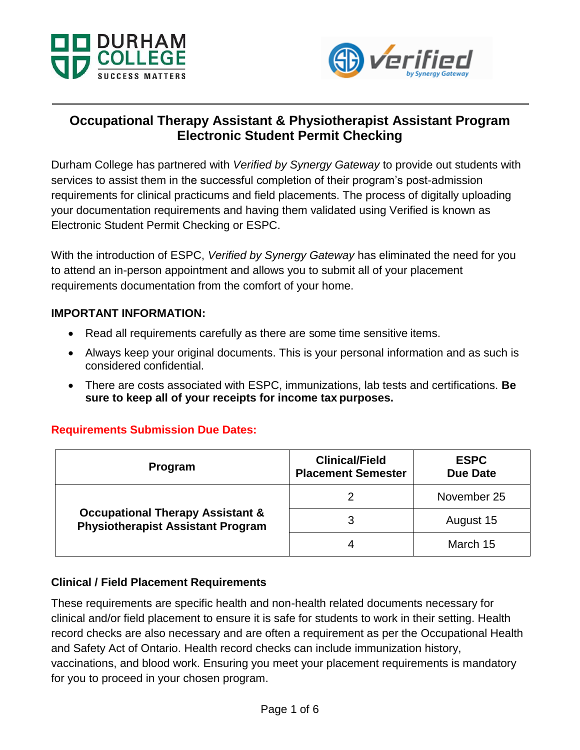



# **Occupational Therapy Assistant & Physiotherapist Assistant Program Electronic Student Permit Checking**

Durham College has partnered with *Verified by Synergy Gateway* to provide out students with services to assist them in the successful completion of their program's post-admission requirements for clinical practicums and field placements. The process of digitally uploading your documentation requirements and having them validated using Verified is known as Electronic Student Permit Checking or ESPC.

With the introduction of ESPC, *Verified by Synergy Gateway* has eliminated the need for you to attend an in-person appointment and allows you to submit all of your placement requirements documentation from the comfort of your home.

#### **IMPORTANT INFORMATION:**

- Read all requirements carefully as there are some time sensitive items.
- Always keep your original documents. This is your personal information and as such is considered confidential.
- There are costs associated with ESPC, immunizations, lab tests and certifications. **Be sure to keep all of your receipts for income tax purposes.**

## **Requirements Submission Due Dates:**

| <b>Program</b>                                                                          | <b>Clinical/Field</b><br><b>Placement Semester</b> | <b>ESPC</b><br><b>Due Date</b> |
|-----------------------------------------------------------------------------------------|----------------------------------------------------|--------------------------------|
| <b>Occupational Therapy Assistant &amp;</b><br><b>Physiotherapist Assistant Program</b> |                                                    | November 25                    |
|                                                                                         | 3                                                  | August 15                      |
|                                                                                         | 4                                                  | March 15                       |

#### **Clinical / Field Placement Requirements**

These requirements are specific health and non-health related documents necessary for clinical and/or field placement to ensure it is safe for students to work in their setting. Health record checks are also necessary and are often a requirement as per the Occupational Health and Safety Act of Ontario. Health record checks can include immunization history, vaccinations, and blood work. Ensuring you meet your placement requirements is mandatory for you to proceed in your chosen program.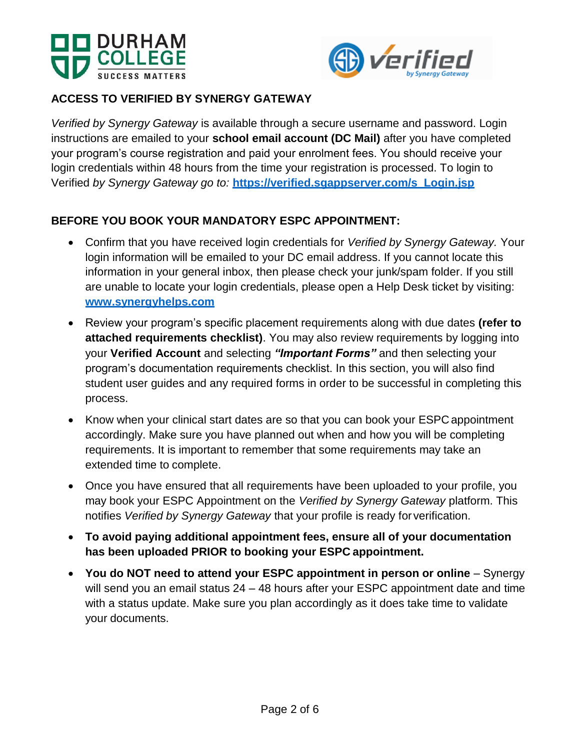



# **ACCESS TO VERIFIED BY SYNERGY GATEWAY**

*Verified by Synergy Gateway* is available through a secure username and password. Login instructions are emailed to your **school email account (DC Mail)** after you have completed your program's course registration and paid your enrolment fees. You should receive your login credentials within 48 hours from the time your registration is processed. To login to Verified *by Synergy Gateway go to:* **[https://verified.sgappserver.com/s\\_Login.jsp](https://verified.sgappserver.com/s_Login.jsp)**

## **BEFORE YOU BOOK YOUR MANDATORY ESPC APPOINTMENT:**

- Confirm that you have received login credentials for *Verified by Synergy Gateway.* Your login information will be emailed to your DC email address. If you cannot locate this information in your general inbox, then please check your junk/spam folder. If you still are unable to locate your login credentials, please open a Help Desk ticket by visiting: **[www.synergyhelps.com](http://www.synergyhelps.com/)**
- Review your program's specific placement requirements along with due dates **(refer to attached requirements checklist)**. You may also review requirements by logging into your **Verified Account** and selecting *"Important Forms"* and then selecting your program's documentation requirements checklist. In this section, you will also find student user guides and any required forms in order to be successful in completing this process.
- Know when your clinical start dates are so that you can book your ESPC appointment accordingly. Make sure you have planned out when and how you will be completing requirements. It is important to remember that some requirements may take an extended time to complete.
- Once you have ensured that all requirements have been uploaded to your profile, you may book your ESPC Appointment on the *Verified by Synergy Gateway* platform. This notifies *Verified by Synergy Gateway* that your profile is ready for verification.
- **To avoid paying additional appointment fees, ensure all of your documentation has been uploaded PRIOR to booking your ESPC appointment.**
- **You do NOT need to attend your ESPC appointment in person or online**  Synergy will send you an email status 24 – 48 hours after your ESPC appointment date and time with a status update. Make sure you plan accordingly as it does take time to validate your documents.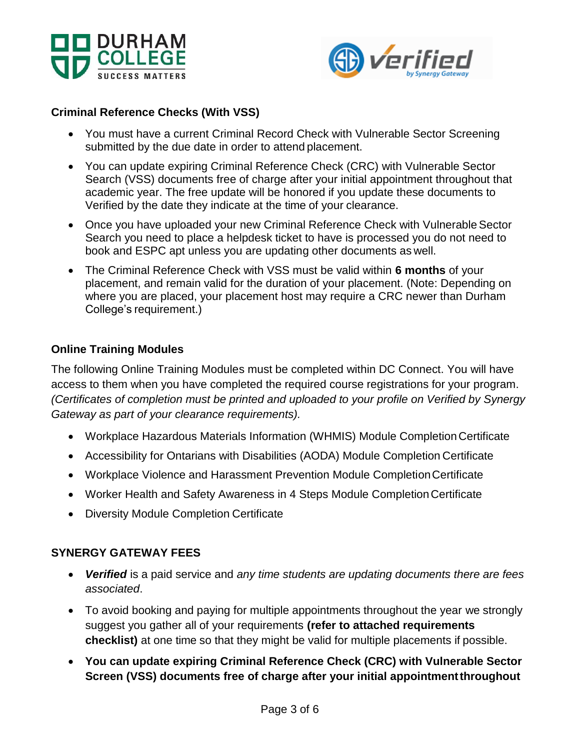



## **Criminal Reference Checks (With VSS)**

- You must have a current Criminal Record Check with Vulnerable Sector Screening submitted by the due date in order to attend placement.
- You can update expiring Criminal Reference Check (CRC) with Vulnerable Sector Search (VSS) documents free of charge after your initial appointment throughout that academic year. The free update will be honored if you update these documents to Verified by the date they indicate at the time of your clearance.
- Once you have uploaded your new Criminal Reference Check with Vulnerable Sector Search you need to place a helpdesk ticket to have is processed you do not need to book and ESPC apt unless you are updating other documents as well.
- The Criminal Reference Check with VSS must be valid within **6 months** of your placement, and remain valid for the duration of your placement. (Note: Depending on where you are placed, your placement host may require a CRC newer than Durham College's requirement.)

#### **Online Training Modules**

The following Online Training Modules must be completed within DC Connect. You will have access to them when you have completed the required course registrations for your program. *(Certificates of completion must be printed and uploaded to your profile on Verified by Synergy Gateway as part of your clearance requirements).*

- Workplace Hazardous Materials Information (WHMIS) Module Completion Certificate
- Accessibility for Ontarians with Disabilities (AODA) Module Completion Certificate
- Workplace Violence and Harassment Prevention Module CompletionCertificate
- Worker Health and Safety Awareness in 4 Steps Module Completion Certificate
- Diversity Module Completion Certificate

#### **SYNERGY GATEWAY FEES**

- *Verified* is a paid service and *any time students are updating documents there are fees associated*.
- To avoid booking and paying for multiple appointments throughout the year we strongly suggest you gather all of your requirements **(refer to attached requirements checklist)** at one time so that they might be valid for multiple placements if possible.
- **You can update expiring Criminal Reference Check (CRC) with Vulnerable Sector Screen (VSS) documents free of charge after your initial appointmentthroughout**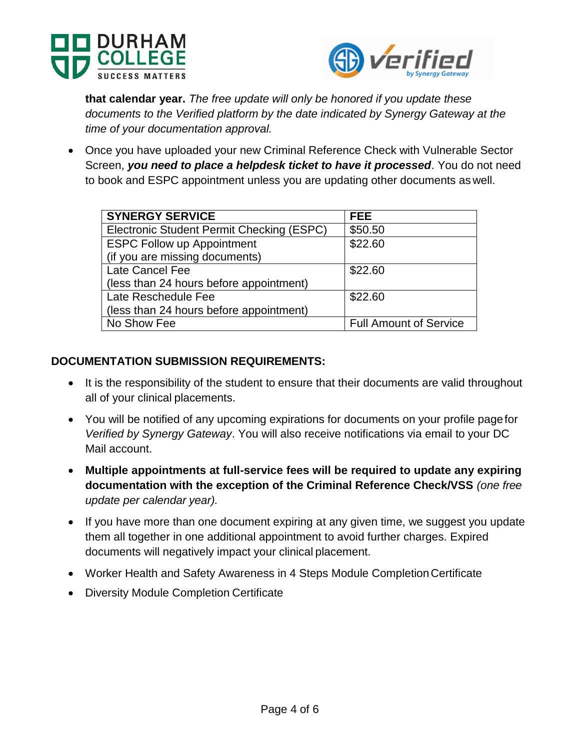



**that calendar year.** *The free update will only be honored if you update these documents to the Verified platform by the date indicated by Synergy Gateway at the time of your documentation approval.*

 Once you have uploaded your new Criminal Reference Check with Vulnerable Sector Screen, *you need to place a helpdesk ticket to have it processed*. You do not need to book and ESPC appointment unless you are updating other documents as well.

| <b>SYNERGY SERVICE</b>                    | <b>FEE</b>                    |
|-------------------------------------------|-------------------------------|
| Electronic Student Permit Checking (ESPC) | \$50.50                       |
| <b>ESPC Follow up Appointment</b>         | \$22.60                       |
| (if you are missing documents)            |                               |
| Late Cancel Fee                           | \$22.60                       |
| (less than 24 hours before appointment)   |                               |
| Late Reschedule Fee                       | \$22.60                       |
| (less than 24 hours before appointment)   |                               |
| No Show Fee                               | <b>Full Amount of Service</b> |

#### **DOCUMENTATION SUBMISSION REQUIREMENTS:**

- It is the responsibility of the student to ensure that their documents are valid throughout all of your clinical placements.
- You will be notified of any upcoming expirations for documents on your profile pagefor *Verified by Synergy Gateway*. You will also receive notifications via email to your DC Mail account.
- **Multiple appointments at full-service fees will be required to update any expiring documentation with the exception of the Criminal Reference Check/VSS** *(one free update per calendar year).*
- If you have more than one document expiring at any given time, we suggest you update them all together in one additional appointment to avoid further charges. Expired documents will negatively impact your clinical placement.
- Worker Health and Safety Awareness in 4 Steps Module Completion Certificate
- Diversity Module Completion Certificate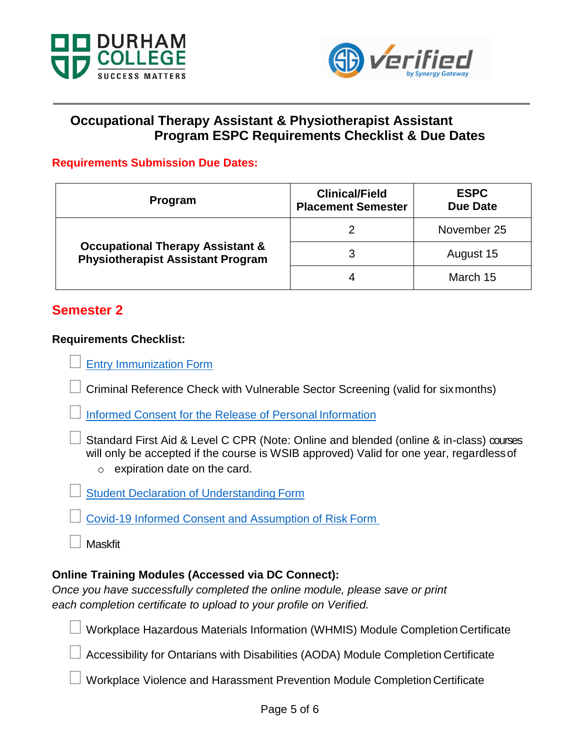



# **Occupational Therapy Assistant & Physiotherapist Assistant Program ESPC Requirements Checklist & Due Dates**

#### **Requirements Submission Due Dates:**

| Program                                                                                 | <b>Clinical/Field</b><br><b>Placement Semester</b> | <b>ESPC</b><br><b>Due Date</b> |
|-----------------------------------------------------------------------------------------|----------------------------------------------------|--------------------------------|
| <b>Occupational Therapy Assistant &amp;</b><br><b>Physiotherapist Assistant Program</b> |                                                    | November 25                    |
|                                                                                         | 3                                                  | August 15                      |
|                                                                                         | 4                                                  | March 15                       |

# **Semester 2**

#### **Requirements Checklist:**

[Entry Immunization](https://durhamcollege.ca/wp-content/uploads/DC-Entry-Immunization-Form.pdf) Form

Criminal Reference Check with Vulnerable Sector Screening (valid for sixmonths)

[Informed Consent for the Release of Personal](https://durhamcollege.ca/wp-content/uploads/HCS-Informed_Consent_Form.pdf) Information

 Standard First Aid & Level C CPR (Note: Online and blended (online & in-class) courses will only be accepted if the course is WSIB approved) Valid for one year, regardless of  $\circ$  expiration date on the card.

[Student Declaration of Understanding](https://durhamcollege.ca/wp-content/uploads/HCS-Student_Declaration.pdf) Form

[Covid-19 Informed Consent and Assumption of Risk](https://durhamcollege.ca/wp-content/uploads/COVID-19-Informed-Consent-and-Assumption-of-Risk-Form.pdf) Form

**Maskfit** 

## **Online Training Modules (Accessed via DC Connect):**

*Once you have successfully completed the online module, please save or print each completion certificate to upload to your profile on Verified.*

Workplace Hazardous Materials Information (WHMIS) Module Completion Certificate

Accessibility for Ontarians with Disabilities (AODA) Module Completion Certificate

Workplace Violence and Harassment Prevention Module Completion Certificate